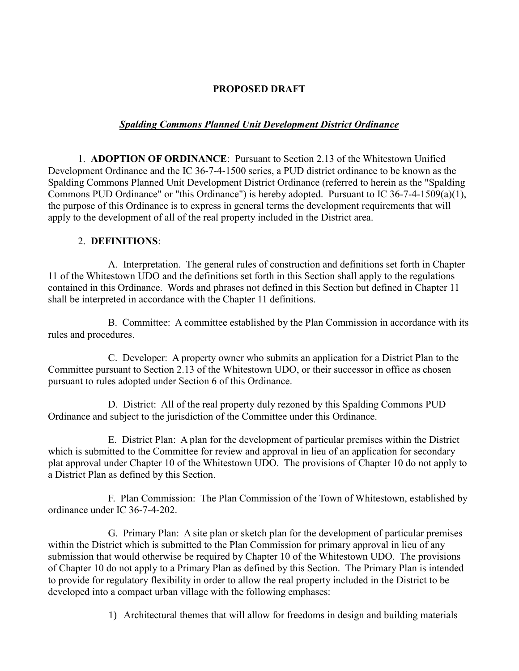## **PROPOSED DRAFT**

## *Spalding Commons Planned Unit Development District Ordinance*

1. **ADOPTION OF ORDINANCE**: Pursuant to Section 2.13 of the Whitestown Unified Development Ordinance and the IC 36-7-4-1500 series, a PUD district ordinance to be known as the Spalding Commons Planned Unit Development District Ordinance (referred to herein as the "Spalding Commons PUD Ordinance" or "this Ordinance") is hereby adopted. Pursuant to IC 36-7-4-1509(a)(1), the purpose of this Ordinance is to express in general terms the development requirements that will apply to the development of all of the real property included in the District area.

## 2. **DEFINITIONS**:

A. Interpretation. The general rules of construction and definitions set forth in Chapter 11 of the Whitestown UDO and the definitions set forth in this Section shall apply to the regulations contained in this Ordinance. Words and phrases not defined in this Section but defined in Chapter 11 shall be interpreted in accordance with the Chapter 11 definitions.

B. Committee: A committee established by the Plan Commission in accordance with its rules and procedures.

C. Developer: A property owner who submits an application for a District Plan to the Committee pursuant to Section 2.13 of the Whitestown UDO, or their successor in office as chosen pursuant to rules adopted under Section 6 of this Ordinance.

D. District: All of the real property duly rezoned by this Spalding Commons PUD Ordinance and subject to the jurisdiction of the Committee under this Ordinance.

E. District Plan: A plan for the development of particular premises within the District which is submitted to the Committee for review and approval in lieu of an application for secondary plat approval under Chapter 10 of the Whitestown UDO. The provisions of Chapter 10 do not apply to a District Plan as defined by this Section.

F. Plan Commission: The Plan Commission of the Town of Whitestown, established by ordinance under IC 36-7-4-202.

G. Primary Plan: A site plan or sketch plan for the development of particular premises within the District which is submitted to the Plan Commission for primary approval in lieu of any submission that would otherwise be required by Chapter 10 of the Whitestown UDO. The provisions of Chapter 10 do not apply to a Primary Plan as defined by this Section. The Primary Plan is intended to provide for regulatory flexibility in order to allow the real property included in the District to be developed into a compact urban village with the following emphases:

1) Architectural themes that will allow for freedoms in design and building materials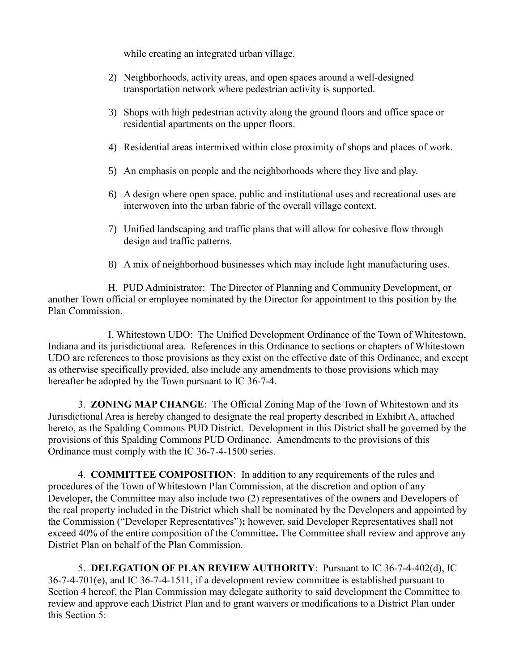while creating an integrated urban village.

- 2) Neighborhoods, activity areas, and open spaces around a well-designed transportation network where pedestrian activity is supported.
- 3) Shops with high pedestrian activity along the ground floors and office space or residential apartments on the upper floors.
- 4) Residential areas intermixed within close proximity of shops and places of work.
- 5) An emphasis on people and the neighborhoods where they live and play.
- 6) A design where open space, public and institutional uses and recreational uses are interwoven into the urban fabric of the overall village context.
- 7) Unified landscaping and traffic plans that will allow for cohesive flow through design and traffic patterns.
- 8) A mix of neighborhood businesses which may include light manufacturing uses.

H. PUD Administrator: The Director of Planning and Community Development, or another Town official or employee nominated by the Director for appointment to this position by the Plan Commission.

I. Whitestown UDO: The Unified Development Ordinance of the Town of Whitestown, Indiana and its jurisdictional area. References in this Ordinance to sections or chapters of Whitestown UDO are references to those provisions as they exist on the effective date of this Ordinance, and except as otherwise specifically provided, also include any amendments to those provisions which may hereafter be adopted by the Town pursuant to IC 36-7-4.

3. **ZONING MAP CHANGE**: The Official Zoning Map of the Town of Whitestown and its Jurisdictional Area is hereby changed to designate the real property described in Exhibit A, attached hereto, as the Spalding Commons PUD District. Development in this District shall be governed by the provisions of this Spalding Commons PUD Ordinance. Amendments to the provisions of this Ordinance must comply with the IC 36-7-4-1500 series.

4. **COMMITTEE COMPOSITION**: In addition to any requirements of the rules and procedures of the Town of Whitestown Plan Commission, at the discretion and option of any Developer**,** the Committee may also include two (2) representatives of the owners and Developers of the real property included in the District which shall be nominated by the Developers and appointed by the Commission ("Developer Representatives")**;** however, said Developer Representatives shall not exceed 40% of the entire composition of the Committee**.** The Committee shall review and approve any District Plan on behalf of the Plan Commission.

5. **DELEGATION OF PLAN REVIEW AUTHORITY**: Pursuant to IC 36-7-4-402(d), IC 36-7-4-701(e), and IC 36-7-4-1511, if a development review committee is established pursuant to Section 4 hereof, the Plan Commission may delegate authority to said development the Committee to review and approve each District Plan and to grant waivers or modifications to a District Plan under this Section 5: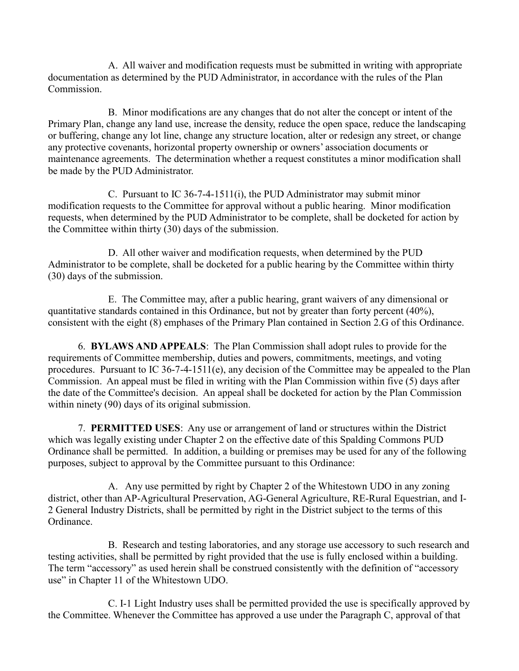A. All waiver and modification requests must be submitted in writing with appropriate documentation as determined by the PUD Administrator, in accordance with the rules of the Plan Commission.

B. Minor modifications are any changes that do not alter the concept or intent of the Primary Plan, change any land use, increase the density, reduce the open space, reduce the landscaping or buffering, change any lot line, change any structure location, alter or redesign any street, or change any protective covenants, horizontal property ownership or owners' association documents or maintenance agreements. The determination whether a request constitutes a minor modification shall be made by the PUD Administrator.

C. Pursuant to IC 36-7-4-1511(i), the PUD Administrator may submit minor modification requests to the Committee for approval without a public hearing. Minor modification requests, when determined by the PUD Administrator to be complete, shall be docketed for action by the Committee within thirty (30) days of the submission.

D. All other waiver and modification requests, when determined by the PUD Administrator to be complete, shall be docketed for a public hearing by the Committee within thirty (30) days of the submission.

E. The Committee may, after a public hearing, grant waivers of any dimensional or quantitative standards contained in this Ordinance, but not by greater than forty percent (40%), consistent with the eight (8) emphases of the Primary Plan contained in Section 2.G of this Ordinance.

6. **BYLAWS AND APPEALS**: The Plan Commission shall adopt rules to provide for the requirements of Committee membership, duties and powers, commitments, meetings, and voting procedures. Pursuant to IC 36-7-4-1511(e), any decision of the Committee may be appealed to the Plan Commission. An appeal must be filed in writing with the Plan Commission within five (5) days after the date of the Committee's decision. An appeal shall be docketed for action by the Plan Commission within ninety (90) days of its original submission.

7. **PERMITTED USES**: Any use or arrangement of land or structures within the District which was legally existing under Chapter 2 on the effective date of this Spalding Commons PUD Ordinance shall be permitted. In addition, a building or premises may be used for any of the following purposes, subject to approval by the Committee pursuant to this Ordinance:

A. Any use permitted by right by Chapter 2 of the Whitestown UDO in any zoning district, other than AP-Agricultural Preservation, AG-General Agriculture, RE-Rural Equestrian, and I-2 General Industry Districts, shall be permitted by right in the District subject to the terms of this Ordinance.

B. Research and testing laboratories, and any storage use accessory to such research and testing activities, shall be permitted by right provided that the use is fully enclosed within a building. The term "accessory" as used herein shall be construed consistently with the definition of "accessory use" in Chapter 11 of the Whitestown UDO.

C. I-1 Light Industry uses shall be permitted provided the use is specifically approved by the Committee. Whenever the Committee has approved a use under the Paragraph C, approval of that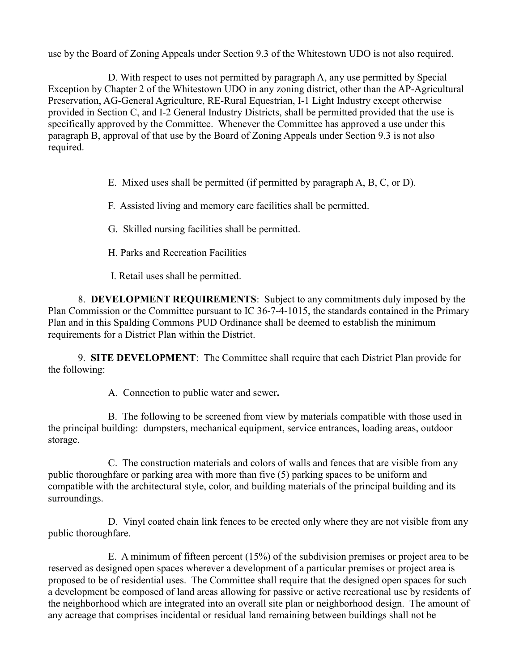use by the Board of Zoning Appeals under Section 9.3 of the Whitestown UDO is not also required.

D. With respect to uses not permitted by paragraph A, any use permitted by Special Exception by Chapter 2 of the Whitestown UDO in any zoning district, other than the AP-Agricultural Preservation, AG-General Agriculture, RE-Rural Equestrian, I-1 Light Industry except otherwise provided in Section C, and I-2 General Industry Districts, shall be permitted provided that the use is specifically approved by the Committee. Whenever the Committee has approved a use under this paragraph B, approval of that use by the Board of Zoning Appeals under Section 9.3 is not also required.

E. Mixed uses shall be permitted (if permitted by paragraph A, B, C, or D).

F. Assisted living and memory care facilities shall be permitted.

G. Skilled nursing facilities shall be permitted.

H. Parks and Recreation Facilities

I. Retail uses shall be permitted.

8. **DEVELOPMENT REQUIREMENTS**: Subject to any commitments duly imposed by the Plan Commission or the Committee pursuant to IC 36-7-4-1015, the standards contained in the Primary Plan and in this Spalding Commons PUD Ordinance shall be deemed to establish the minimum requirements for a District Plan within the District.

9. **SITE DEVELOPMENT**: The Committee shall require that each District Plan provide for the following:

A. Connection to public water and sewer**.**

B. The following to be screened from view by materials compatible with those used in the principal building: dumpsters, mechanical equipment, service entrances, loading areas, outdoor storage.

C. The construction materials and colors of walls and fences that are visible from any public thoroughfare or parking area with more than five (5) parking spaces to be uniform and compatible with the architectural style, color, and building materials of the principal building and its surroundings.

D. Vinyl coated chain link fences to be erected only where they are not visible from any public thoroughfare.

E. A minimum of fifteen percent (15%) of the subdivision premises or project area to be reserved as designed open spaces wherever a development of a particular premises or project area is proposed to be of residential uses. The Committee shall require that the designed open spaces for such a development be composed of land areas allowing for passive or active recreational use by residents of the neighborhood which are integrated into an overall site plan or neighborhood design. The amount of any acreage that comprises incidental or residual land remaining between buildings shall not be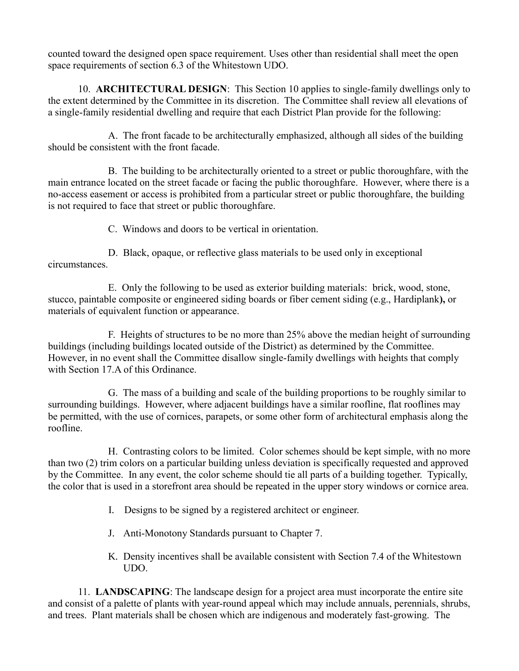counted toward the designed open space requirement. Uses other than residential shall meet the open space requirements of section 6.3 of the Whitestown UDO.

10. **ARCHITECTURAL DESIGN**: This Section 10 applies to single-family dwellings only to the extent determined by the Committee in its discretion. The Committee shall review all elevations of a single-family residential dwelling and require that each District Plan provide for the following:

A. The front facade to be architecturally emphasized, although all sides of the building should be consistent with the front facade.

B. The building to be architecturally oriented to a street or public thoroughfare, with the main entrance located on the street facade or facing the public thoroughfare. However, where there is a no-access easement or access is prohibited from a particular street or public thoroughfare, the building is not required to face that street or public thoroughfare.

C. Windows and doors to be vertical in orientation.

D. Black, opaque, or reflective glass materials to be used only in exceptional circumstances.

E. Only the following to be used as exterior building materials: brick, wood, stone, stucco, paintable composite or engineered siding boards or fiber cement siding (e.g., Hardiplank**),** or materials of equivalent function or appearance.

F. Heights of structures to be no more than 25% above the median height of surrounding buildings (including buildings located outside of the District) as determined by the Committee. However, in no event shall the Committee disallow single-family dwellings with heights that comply with Section 17.A of this Ordinance.

G. The mass of a building and scale of the building proportions to be roughly similar to surrounding buildings. However, where adjacent buildings have a similar roofline, flat rooflines may be permitted, with the use of cornices, parapets, or some other form of architectural emphasis along the roofline.

H. Contrasting colors to be limited. Color schemes should be kept simple, with no more than two (2) trim colors on a particular building unless deviation is specifically requested and approved by the Committee. In any event, the color scheme should tie all parts of a building together. Typically, the color that is used in a storefront area should be repeated in the upper story windows or cornice area.

- I. Designs to be signed by a registered architect or engineer.
- J. Anti-Monotony Standards pursuant to Chapter 7.
- K. Density incentives shall be available consistent with Section 7.4 of the Whitestown UDO.

11. **LANDSCAPING**: The landscape design for a project area must incorporate the entire site and consist of a palette of plants with year-round appeal which may include annuals, perennials, shrubs, and trees. Plant materials shall be chosen which are indigenous and moderately fast-growing. The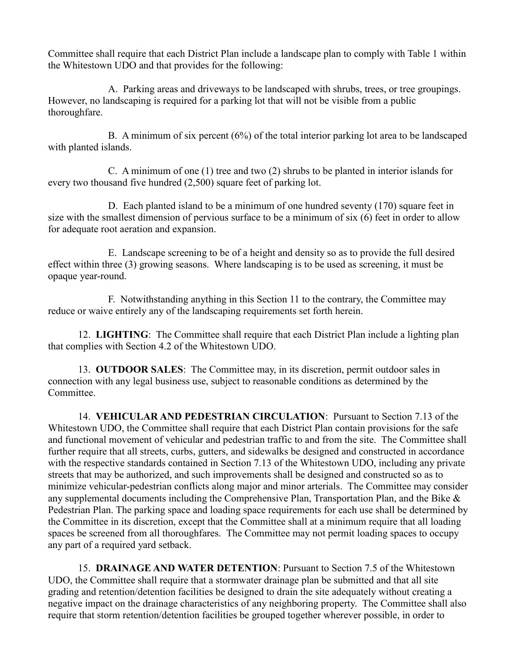Committee shall require that each District Plan include a landscape plan to comply with Table 1 within the Whitestown UDO and that provides for the following:

A. Parking areas and driveways to be landscaped with shrubs, trees, or tree groupings. However, no landscaping is required for a parking lot that will not be visible from a public thoroughfare.

B. A minimum of six percent (6%) of the total interior parking lot area to be landscaped with planted islands.

C. A minimum of one (1) tree and two (2) shrubs to be planted in interior islands for every two thousand five hundred (2,500) square feet of parking lot.

D. Each planted island to be a minimum of one hundred seventy (170) square feet in size with the smallest dimension of pervious surface to be a minimum of six (6) feet in order to allow for adequate root aeration and expansion.

E. Landscape screening to be of a height and density so as to provide the full desired effect within three (3) growing seasons. Where landscaping is to be used as screening, it must be opaque year-round.

F. Notwithstanding anything in this Section 11 to the contrary, the Committee may reduce or waive entirely any of the landscaping requirements set forth herein.

12. **LIGHTING**: The Committee shall require that each District Plan include a lighting plan that complies with Section 4.2 of the Whitestown UDO.

13. **OUTDOOR SALES**: The Committee may, in its discretion, permit outdoor sales in connection with any legal business use, subject to reasonable conditions as determined by the Committee.

14. **VEHICULAR AND PEDESTRIAN CIRCULATION**: Pursuant to Section 7.13 of the Whitestown UDO, the Committee shall require that each District Plan contain provisions for the safe and functional movement of vehicular and pedestrian traffic to and from the site. The Committee shall further require that all streets, curbs, gutters, and sidewalks be designed and constructed in accordance with the respective standards contained in Section 7.13 of the Whitestown UDO, including any private streets that may be authorized, and such improvements shall be designed and constructed so as to minimize vehicular-pedestrian conflicts along major and minor arterials. The Committee may consider any supplemental documents including the Comprehensive Plan, Transportation Plan, and the Bike & Pedestrian Plan. The parking space and loading space requirements for each use shall be determined by the Committee in its discretion, except that the Committee shall at a minimum require that all loading spaces be screened from all thoroughfares. The Committee may not permit loading spaces to occupy any part of a required yard setback.

15. **DRAINAGE AND WATER DETENTION**: Pursuant to Section 7.5 of the Whitestown UDO, the Committee shall require that a stormwater drainage plan be submitted and that all site grading and retention/detention facilities be designed to drain the site adequately without creating a negative impact on the drainage characteristics of any neighboring property. The Committee shall also require that storm retention/detention facilities be grouped together wherever possible, in order to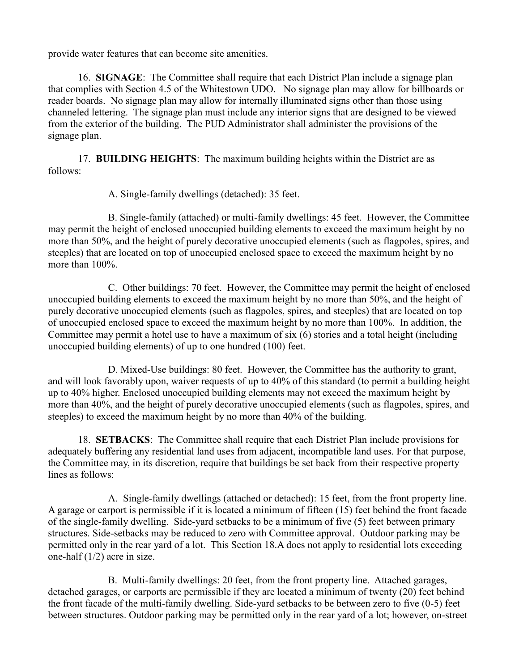provide water features that can become site amenities.

16. **SIGNAGE**: The Committee shall require that each District Plan include a signage plan that complies with Section 4.5 of the Whitestown UDO. No signage plan may allow for billboards or reader boards. No signage plan may allow for internally illuminated signs other than those using channeled lettering. The signage plan must include any interior signs that are designed to be viewed from the exterior of the building. The PUD Administrator shall administer the provisions of the signage plan.

17. **BUILDING HEIGHTS**: The maximum building heights within the District are as follows:

A. Single-family dwellings (detached): 35 feet.

B. Single-family (attached) or multi-family dwellings: 45 feet. However, the Committee may permit the height of enclosed unoccupied building elements to exceed the maximum height by no more than 50%, and the height of purely decorative unoccupied elements (such as flagpoles, spires, and steeples) that are located on top of unoccupied enclosed space to exceed the maximum height by no more than 100%.

C. Other buildings: 70 feet. However, the Committee may permit the height of enclosed unoccupied building elements to exceed the maximum height by no more than 50%, and the height of purely decorative unoccupied elements (such as flagpoles, spires, and steeples) that are located on top of unoccupied enclosed space to exceed the maximum height by no more than 100%. In addition, the Committee may permit a hotel use to have a maximum of six (6) stories and a total height (including unoccupied building elements) of up to one hundred (100) feet.

D. Mixed-Use buildings: 80 feet. However, the Committee has the authority to grant, and will look favorably upon, waiver requests of up to 40% of this standard (to permit a building height up to 40% higher. Enclosed unoccupied building elements may not exceed the maximum height by more than 40%, and the height of purely decorative unoccupied elements (such as flagpoles, spires, and steeples) to exceed the maximum height by no more than 40% of the building.

18. **SETBACKS**: The Committee shall require that each District Plan include provisions for adequately buffering any residential land uses from adjacent, incompatible land uses. For that purpose, the Committee may, in its discretion, require that buildings be set back from their respective property lines as follows:

A. Single-family dwellings (attached or detached): 15 feet, from the front property line. A garage or carport is permissible if it is located a minimum of fifteen (15) feet behind the front facade of the single-family dwelling. Side-yard setbacks to be a minimum of five (5) feet between primary structures. Side-setbacks may be reduced to zero with Committee approval. Outdoor parking may be permitted only in the rear yard of a lot. This Section 18.A does not apply to residential lots exceeding one-half (1/2) acre in size.

B. Multi-family dwellings: 20 feet, from the front property line. Attached garages, detached garages, or carports are permissible if they are located a minimum of twenty (20) feet behind the front facade of the multi-family dwelling. Side-yard setbacks to be between zero to five (0-5) feet between structures. Outdoor parking may be permitted only in the rear yard of a lot; however, on-street